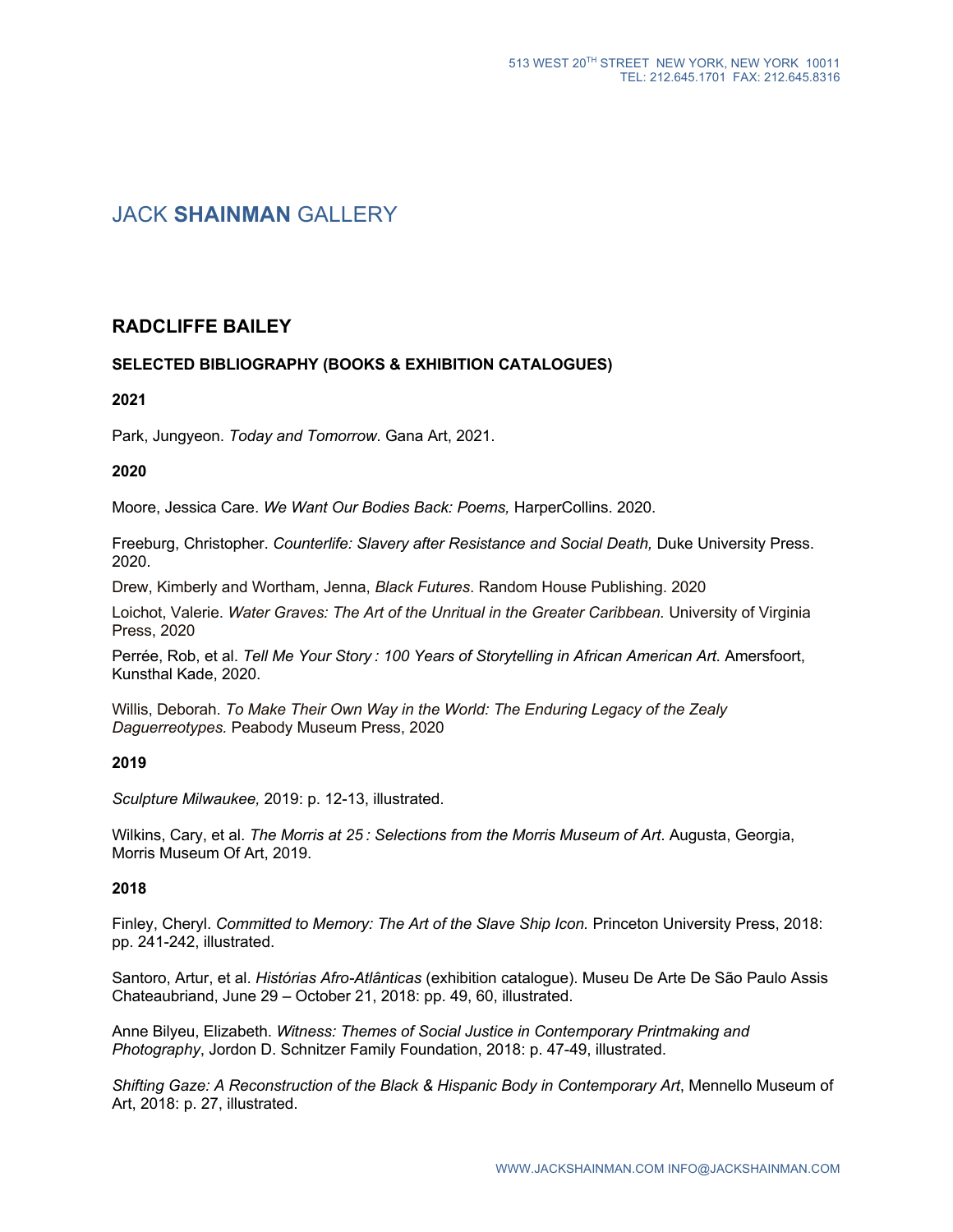# JACK **SHAINMAN** GALLERY

# **RADCLIFFE BAILEY**

## **SELECTED BIBLIOGRAPHY (BOOKS & EXHIBITION CATALOGUES)**

### **2021**

Park, Jungyeon. *Today and Tomorrow*. Gana Art, 2021.

### **2020**

Moore, Jessica Care. *We Want Our Bodies Back: Poems,* HarperCollins. 2020.

Freeburg, Christopher. *Counterlife: Slavery after Resistance and Social Death,* Duke University Press. 2020.

Drew, Kimberly and Wortham, Jenna, *Black Futures*. Random House Publishing. 2020

Loichot, Valerie. *Water Graves: The Art of the Unritual in the Greater Caribbean.* University of Virginia Press, 2020

Perrée, Rob, et al. *Tell Me Your Story : 100 Years of Storytelling in African American Art*. Amersfoort, Kunsthal Kade, 2020.

Willis, Deborah. *To Make Their Own Way in the World: The Enduring Legacy of the Zealy Daguerreotypes.* Peabody Museum Press, 2020

### **2019**

*Sculpture Milwaukee,* 2019: p. 12-13, illustrated.

Wilkins, Cary, et al. *The Morris at 25 : Selections from the Morris Museum of Art*. Augusta, Georgia, Morris Museum Of Art, 2019.

### **2018**

Finley, Cheryl. *Committed to Memory: The Art of the Slave Ship Icon.* Princeton University Press, 2018: pp. 241-242, illustrated.

Santoro, Artur, et al. *Histórias Afro-Atlânticas* (exhibition catalogue). Museu De Arte De São Paulo Assis Chateaubriand, June 29 – October 21, 2018: pp. 49, 60, illustrated.

Anne Bilyeu, Elizabeth. *Witness: Themes of Social Justice in Contemporary Printmaking and Photography*, Jordon D. Schnitzer Family Foundation, 2018: p. 47-49, illustrated.

*Shifting Gaze: A Reconstruction of the Black & Hispanic Body in Contemporary Art*, Mennello Museum of Art, 2018: p. 27, illustrated.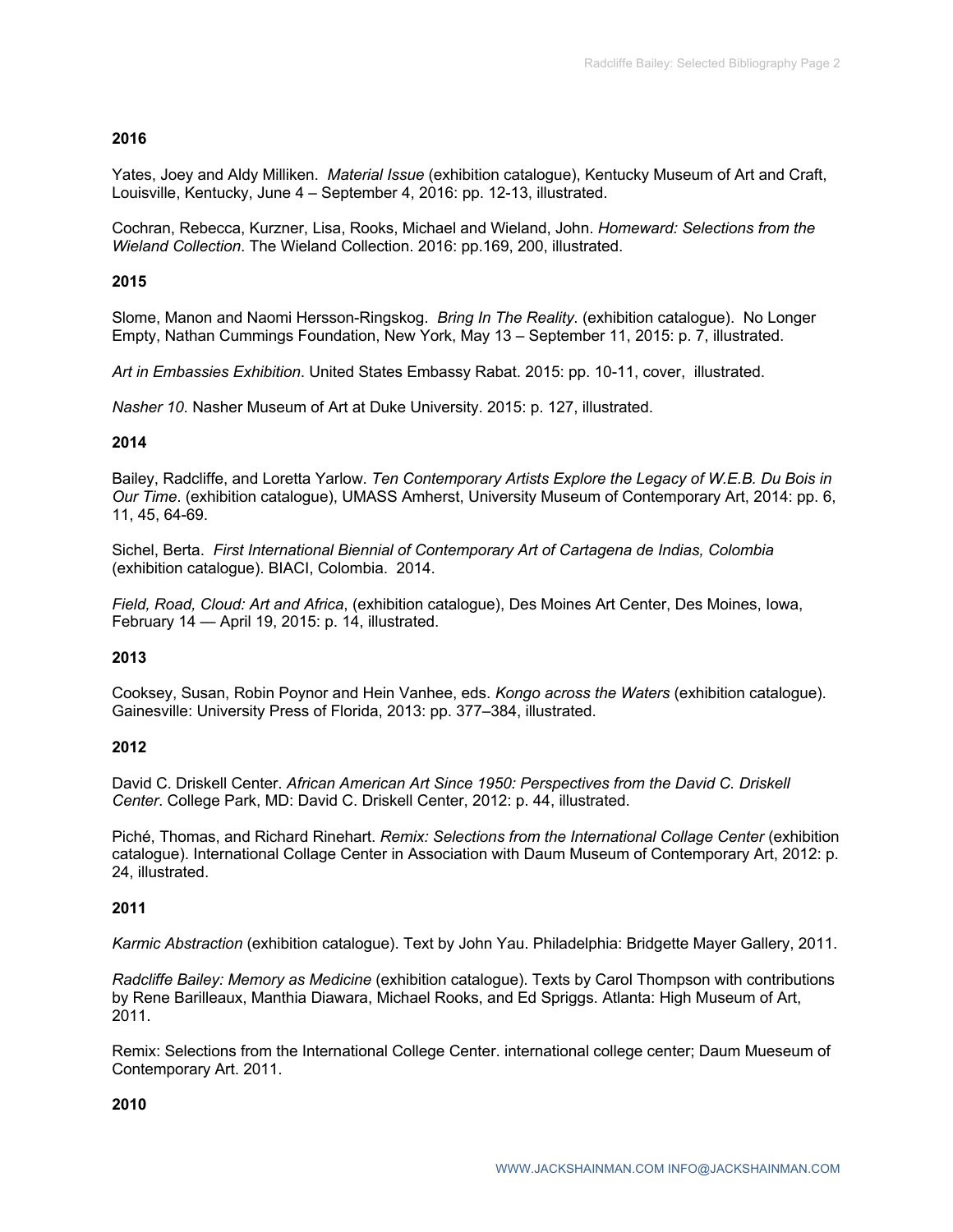# **2016**

Yates, Joey and Aldy Milliken. *Material Issue* (exhibition catalogue), Kentucky Museum of Art and Craft, Louisville, Kentucky, June 4 – September 4, 2016: pp. 12-13, illustrated.

Cochran, Rebecca, Kurzner, Lisa, Rooks, Michael and Wieland, John. *Homeward: Selections from the Wieland Collection*. The Wieland Collection. 2016: pp.169, 200, illustrated.

# **2015**

Slome, Manon and Naomi Hersson-Ringskog. *Bring In The Reality*. (exhibition catalogue). No Longer Empty, Nathan Cummings Foundation, New York, May 13 – September 11, 2015: p. 7, illustrated.

*Art in Embassies Exhibition*. United States Embassy Rabat. 2015: pp. 10-11, cover, illustrated.

*Nasher 10*. Nasher Museum of Art at Duke University. 2015: p. 127, illustrated.

## **2014**

Bailey, Radcliffe, and Loretta Yarlow. *Ten Contemporary Artists Explore the Legacy of W.E.B. Du Bois in Our Time*. (exhibition catalogue), UMASS Amherst, University Museum of Contemporary Art, 2014: pp. 6, 11, 45, 64-69.

Sichel, Berta. *First International Biennial of Contemporary Art of Cartagena de Indias, Colombia* (exhibition catalogue). BIACI, Colombia. 2014.

*Field, Road, Cloud: Art and Africa*, (exhibition catalogue), Des Moines Art Center, Des Moines, Iowa, February 14 — April 19, 2015: p. 14, illustrated.

## **2013**

Cooksey, Susan, Robin Poynor and Hein Vanhee, eds. *Kongo across the Waters* (exhibition catalogue). Gainesville: University Press of Florida, 2013: pp. 377–384, illustrated.

## **2012**

David C. Driskell Center. *African American Art Since 1950: Perspectives from the David C. Driskell Center*. College Park, MD: David C. Driskell Center, 2012: p. 44, illustrated.

Piché, Thomas, and Richard Rinehart. *Remix: Selections from the International Collage Center* (exhibition catalogue). International Collage Center in Association with Daum Museum of Contemporary Art, 2012: p. 24, illustrated.

## **2011**

*Karmic Abstraction* (exhibition catalogue). Text by John Yau. Philadelphia: Bridgette Mayer Gallery, 2011.

*Radcliffe Bailey: Memory as Medicine* (exhibition catalogue). Texts by Carol Thompson with contributions by Rene Barilleaux, Manthia Diawara, Michael Rooks, and Ed Spriggs. Atlanta: High Museum of Art, 2011.

Remix: Selections from the International College Center. international college center; Daum Mueseum of Contemporary Art. 2011.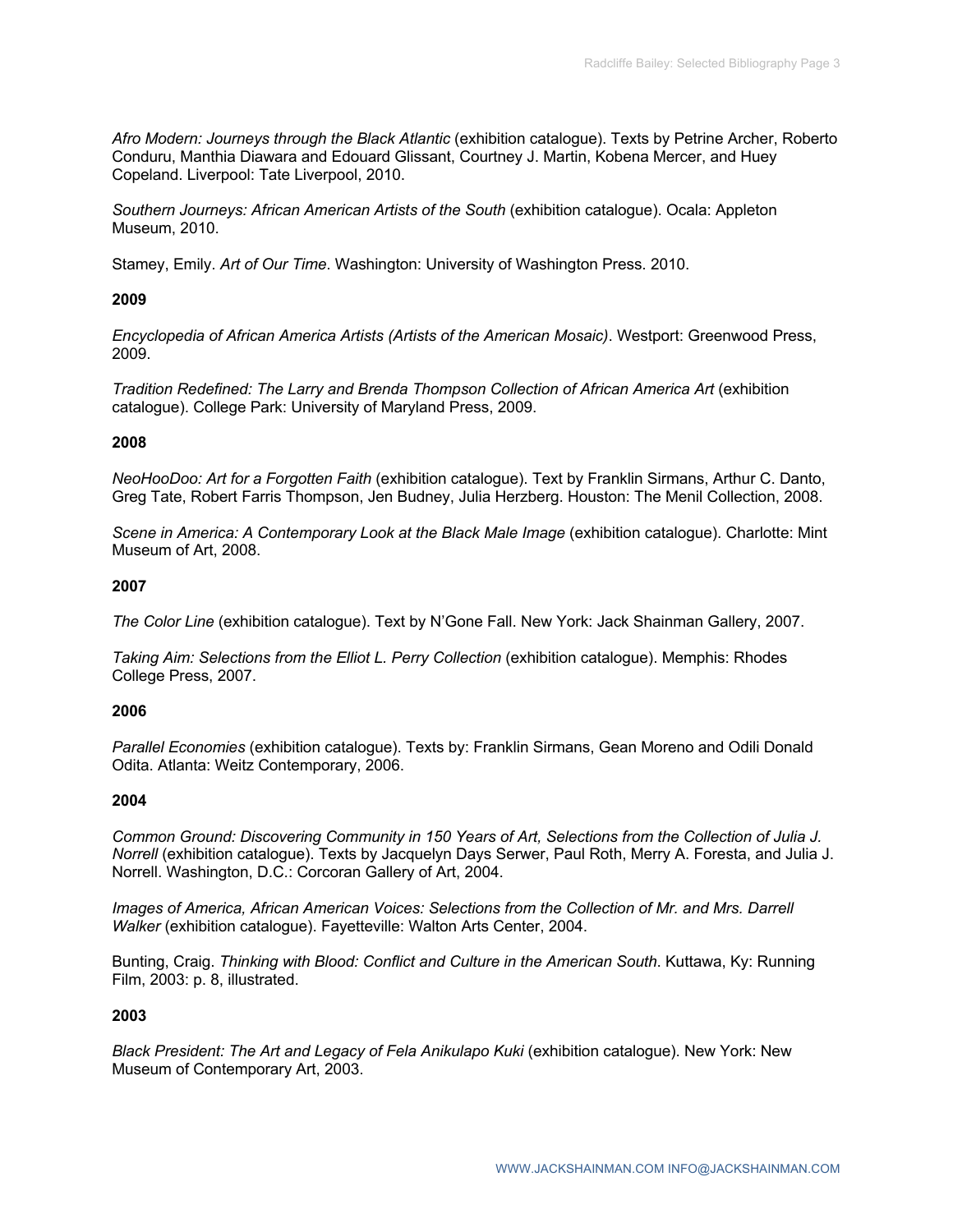*Afro Modern: Journeys through the Black Atlantic* (exhibition catalogue). Texts by Petrine Archer, Roberto Conduru, Manthia Diawara and Edouard Glissant, Courtney J. Martin, Kobena Mercer, and Huey Copeland. Liverpool: Tate Liverpool, 2010.

*Southern Journeys: African American Artists of the South* (exhibition catalogue). Ocala: Appleton Museum, 2010.

Stamey, Emily. *Art of Our Time*. Washington: University of Washington Press. 2010.

### **2009**

*Encyclopedia of African America Artists (Artists of the American Mosaic)*. Westport: Greenwood Press, 2009.

*Tradition Redefined: The Larry and Brenda Thompson Collection of African America Art (exhibition* catalogue). College Park: University of Maryland Press, 2009.

### **2008**

*NeoHooDoo: Art for a Forgotten Faith* (exhibition catalogue). Text by Franklin Sirmans, Arthur C. Danto, Greg Tate, Robert Farris Thompson, Jen Budney, Julia Herzberg. Houston: The Menil Collection, 2008.

*Scene in America: A Contemporary Look at the Black Male Image* (exhibition catalogue). Charlotte: Mint Museum of Art, 2008.

### **2007**

*The Color Line* (exhibition catalogue). Text by N'Gone Fall. New York: Jack Shainman Gallery, 2007.

*Taking Aim: Selections from the Elliot L. Perry Collection (exhibition cataloque). Memphis: Rhodes* College Press, 2007.

### **2006**

*Parallel Economies* (exhibition catalogue). Texts by: Franklin Sirmans, Gean Moreno and Odili Donald Odita. Atlanta: Weitz Contemporary, 2006.

### **2004**

*Common Ground: Discovering Community in 150 Years of Art, Selections from the Collection of Julia J. Norrell* (exhibition catalogue). Texts by Jacquelyn Days Serwer, Paul Roth, Merry A. Foresta, and Julia J. Norrell. Washington, D.C.: Corcoran Gallery of Art, 2004.

*Images of America, African American Voices: Selections from the Collection of Mr. and Mrs. Darrell Walker* (exhibition catalogue). Fayetteville: Walton Arts Center, 2004.

Bunting, Craig. *Thinking with Blood: Conflict and Culture in the American South*. Kuttawa, Ky: Running Film, 2003: p. 8, illustrated.

### **2003**

*Black President: The Art and Legacy of Fela Anikulapo Kuki* (exhibition catalogue). New York: New Museum of Contemporary Art, 2003.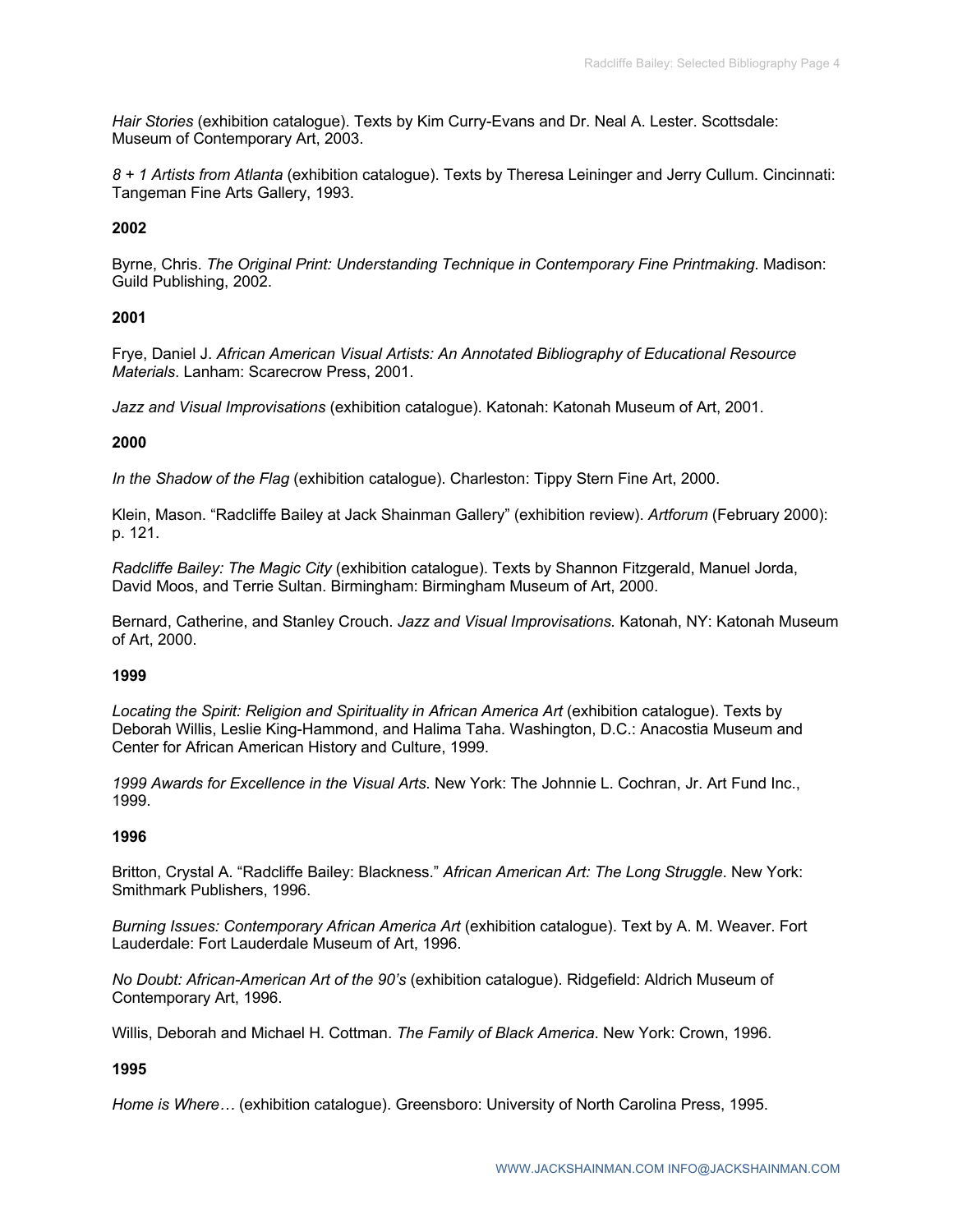*Hair Stories* (exhibition catalogue). Texts by Kim Curry-Evans and Dr. Neal A. Lester. Scottsdale: Museum of Contemporary Art, 2003.

*8 + 1 Artists from Atlanta* (exhibition catalogue). Texts by Theresa Leininger and Jerry Cullum. Cincinnati: Tangeman Fine Arts Gallery, 1993.

### **2002**

Byrne, Chris. *The Original Print: Understanding Technique in Contemporary Fine Printmaking*. Madison: Guild Publishing, 2002.

### **2001**

Frye, Daniel J. *African American Visual Artists: An Annotated Bibliography of Educational Resource Materials*. Lanham: Scarecrow Press, 2001.

*Jazz and Visual Improvisations* (exhibition catalogue). Katonah: Katonah Museum of Art, 2001.

### **2000**

*In the Shadow of the Flag* (exhibition catalogue). Charleston: Tippy Stern Fine Art, 2000.

Klein, Mason. "Radcliffe Bailey at Jack Shainman Gallery" (exhibition review). *Artforum* (February 2000): p. 121.

*Radcliffe Bailey: The Magic City* (exhibition catalogue). Texts by Shannon Fitzgerald, Manuel Jorda, David Moos, and Terrie Sultan. Birmingham: Birmingham Museum of Art, 2000.

Bernard, Catherine, and Stanley Crouch. *Jazz and Visual Improvisations.* Katonah, NY: Katonah Museum of Art, 2000.

### **1999**

Locating the Spirit: Religion and Spirituality in African America Art (exhibition catalogue). Texts by Deborah Willis, Leslie King-Hammond, and Halima Taha. Washington, D.C.: Anacostia Museum and Center for African American History and Culture, 1999.

*1999 Awards for Excellence in the Visual Arts*. New York: The Johnnie L. Cochran, Jr. Art Fund Inc., 1999.

### **1996**

Britton, Crystal A. "Radcliffe Bailey: Blackness." *African American Art: The Long Struggle*. New York: Smithmark Publishers, 1996.

*Burning Issues: Contemporary African America Art* (exhibition catalogue). Text by A. M. Weaver. Fort Lauderdale: Fort Lauderdale Museum of Art, 1996.

*No Doubt: African-American Art of the 90's* (exhibition catalogue). Ridgefield: Aldrich Museum of Contemporary Art, 1996.

Willis, Deborah and Michael H. Cottman. *The Family of Black America*. New York: Crown, 1996.

### **1995**

*Home is Where…* (exhibition catalogue). Greensboro: University of North Carolina Press, 1995.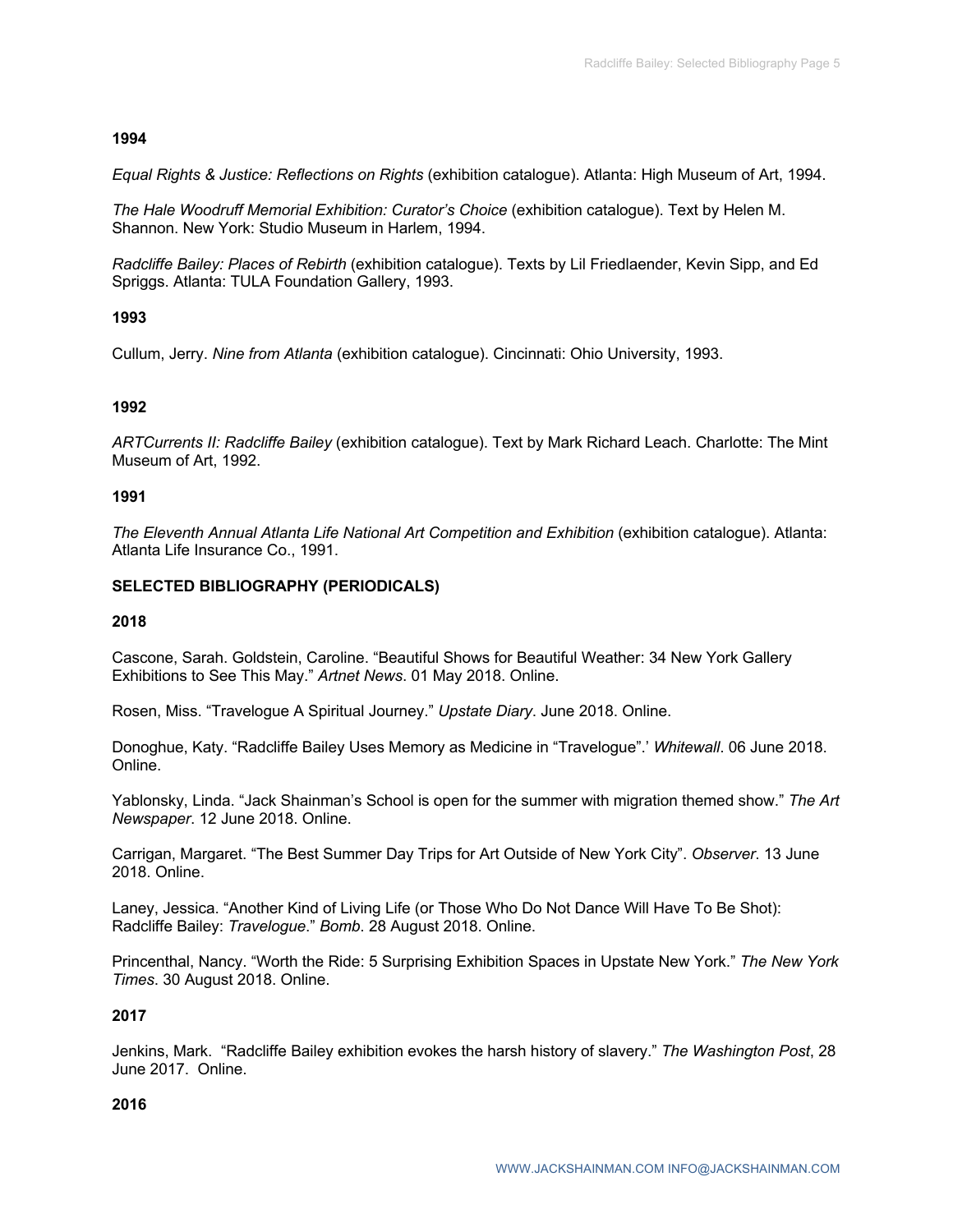### **1994**

*Equal Rights & Justice: Reflections on Rights* (exhibition catalogue). Atlanta: High Museum of Art, 1994.

*The Hale Woodruff Memorial Exhibition: Curator's Choice* (exhibition catalogue). Text by Helen M. Shannon. New York: Studio Museum in Harlem, 1994.

*Radcliffe Bailey: Places of Rebirth* (exhibition catalogue). Texts by Lil Friedlaender, Kevin Sipp, and Ed Spriggs. Atlanta: TULA Foundation Gallery, 1993.

## **1993**

Cullum, Jerry. *Nine from Atlanta* (exhibition catalogue). Cincinnati: Ohio University, 1993.

### **1992**

*ARTCurrents II: Radcliffe Bailey* (exhibition catalogue). Text by Mark Richard Leach. Charlotte: The Mint Museum of Art, 1992.

### **1991**

*The Eleventh Annual Atlanta Life National Art Competition and Exhibition* (exhibition catalogue). Atlanta: Atlanta Life Insurance Co., 1991.

## **SELECTED BIBLIOGRAPHY (PERIODICALS)**

### **2018**

Cascone, Sarah. Goldstein, Caroline. "Beautiful Shows for Beautiful Weather: 34 New York Gallery Exhibitions to See This May." *Artnet News*. 01 May 2018. Online.

Rosen, Miss. "Travelogue A Spiritual Journey." *Upstate Diary*. June 2018. Online.

Donoghue, Katy. "Radcliffe Bailey Uses Memory as Medicine in "Travelogue".' *Whitewall*. 06 June 2018. Online.

Yablonsky, Linda. "Jack Shainman's School is open for the summer with migration themed show." *The Art Newspaper*. 12 June 2018. Online.

Carrigan, Margaret. "The Best Summer Day Trips for Art Outside of New York City". *Observer*. 13 June 2018. Online.

Laney, Jessica. "Another Kind of Living Life (or Those Who Do Not Dance Will Have To Be Shot): Radcliffe Bailey: *Travelogue*." *Bomb*. 28 August 2018. Online.

Princenthal, Nancy. "Worth the Ride: 5 Surprising Exhibition Spaces in Upstate New York." *The New York Times*. 30 August 2018. Online.

### **2017**

Jenkins, Mark. "Radcliffe Bailey exhibition evokes the harsh history of slavery." *The Washington Post*, 28 June 2017. Online.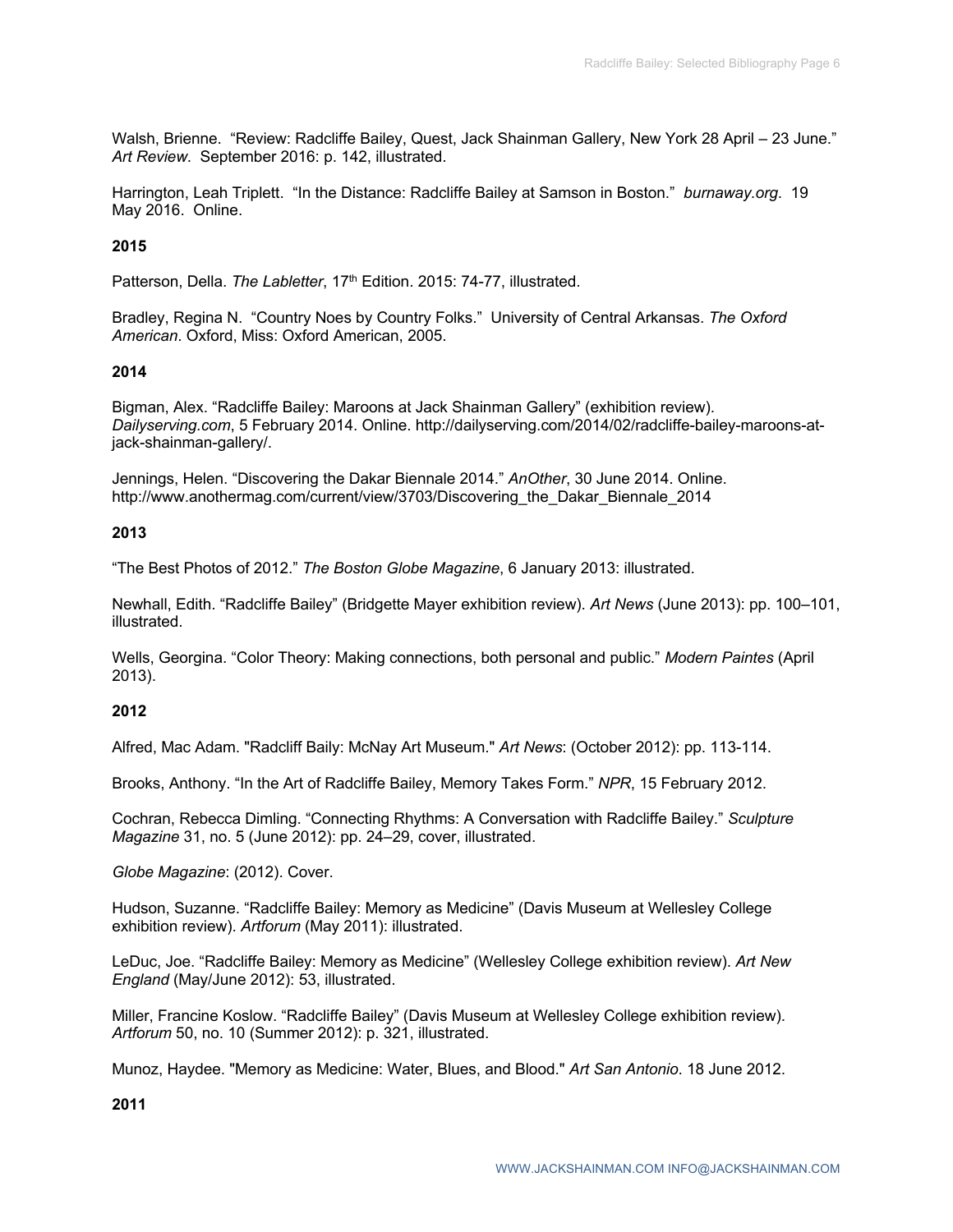Walsh, Brienne. "Review: Radcliffe Bailey, Quest, Jack Shainman Gallery, New York 28 April – 23 June." *Art Review*. September 2016: p. 142, illustrated.

Harrington, Leah Triplett. "In the Distance: Radcliffe Bailey at Samson in Boston." *burnaway.org*. 19 May 2016. Online.

## **2015**

Patterson, Della. *The Labletter*, 17<sup>th</sup> Edition. 2015: 74-77, illustrated.

Bradley, Regina N. "Country Noes by Country Folks." University of Central Arkansas. *The Oxford American*. Oxford, Miss: Oxford American, 2005.

### **2014**

Bigman, Alex. "Radcliffe Bailey: Maroons at Jack Shainman Gallery" (exhibition review). *Dailyserving.com*, 5 February 2014. Online. http://dailyserving.com/2014/02/radcliffe-bailey-maroons-atjack-shainman-gallery/.

Jennings, Helen. "Discovering the Dakar Biennale 2014." *AnOther*, 30 June 2014. Online. http://www.anothermag.com/current/view/3703/Discovering\_the\_Dakar\_Biennale\_2014

### **2013**

"The Best Photos of 2012." *The Boston Globe Magazine*, 6 January 2013: illustrated.

Newhall, Edith. "Radcliffe Bailey" (Bridgette Mayer exhibition review). *Art News* (June 2013): pp. 100–101, illustrated.

Wells, Georgina. "Color Theory: Making connections, both personal and public." *Modern Paintes* (April 2013).

### **2012**

Alfred, Mac Adam. "Radcliff Baily: McNay Art Museum." *Art News*: (October 2012): pp. 113-114.

Brooks, Anthony. "In the Art of Radcliffe Bailey, Memory Takes Form." *NPR*, 15 February 2012.

Cochran, Rebecca Dimling. "Connecting Rhythms: A Conversation with Radcliffe Bailey." *Sculpture Magazine* 31, no. 5 (June 2012): pp. 24–29, cover, illustrated.

*Globe Magazine*: (2012). Cover.

Hudson, Suzanne. "Radcliffe Bailey: Memory as Medicine" (Davis Museum at Wellesley College exhibition review). *Artforum* (May 2011): illustrated.

LeDuc, Joe. "Radcliffe Bailey: Memory as Medicine" (Wellesley College exhibition review). *Art New England* (May/June 2012): 53, illustrated.

Miller, Francine Koslow. "Radcliffe Bailey" (Davis Museum at Wellesley College exhibition review). *Artforum* 50, no. 10 (Summer 2012): p. 321, illustrated.

Munoz, Haydee. "Memory as Medicine: Water, Blues, and Blood." *Art San Antonio*. 18 June 2012.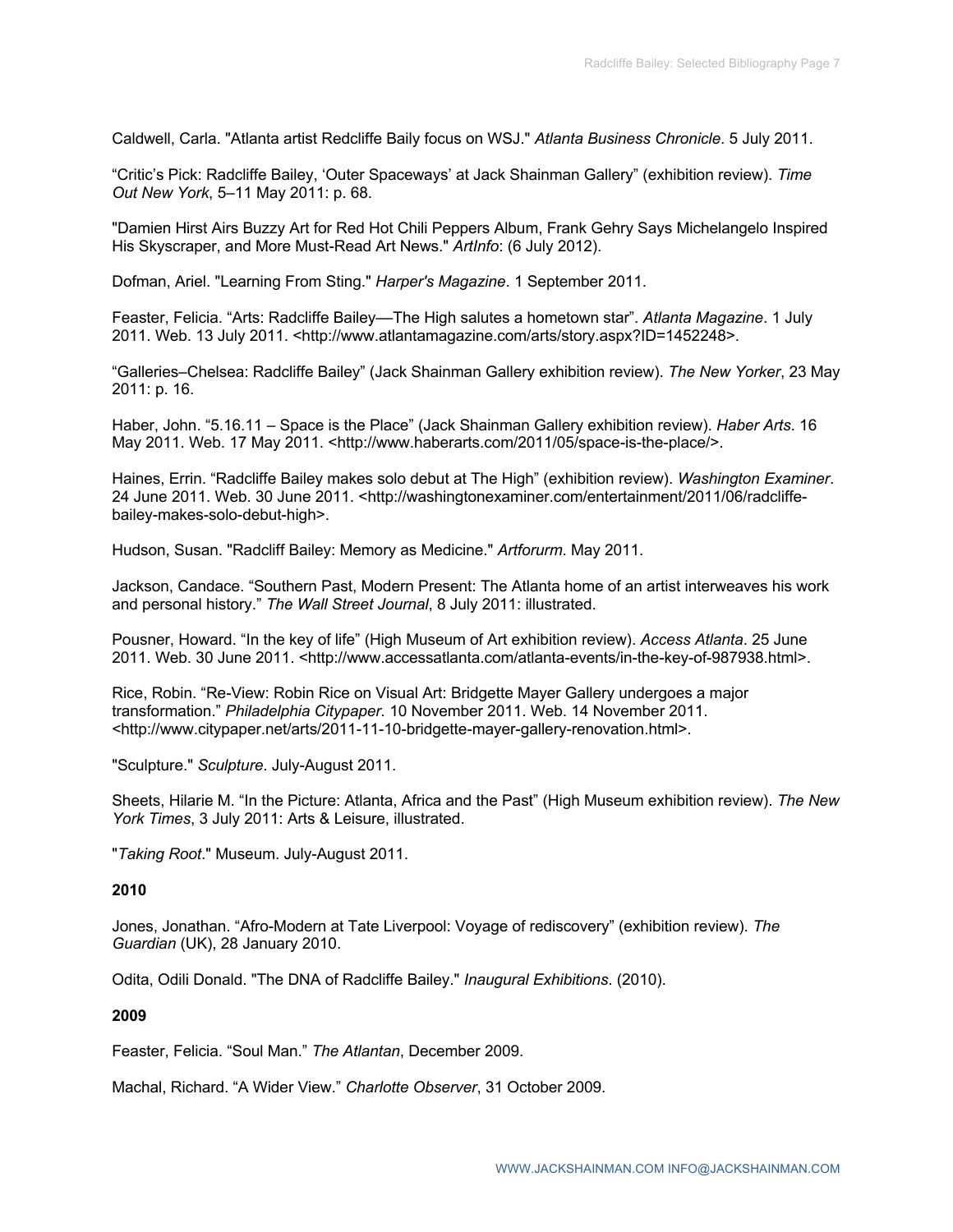Caldwell, Carla. "Atlanta artist Redcliffe Baily focus on WSJ." *Atlanta Business Chronicle*. 5 July 2011.

"Critic's Pick: Radcliffe Bailey, 'Outer Spaceways' at Jack Shainman Gallery" (exhibition review). *Time Out New York*, 5–11 May 2011: p. 68.

"Damien Hirst Airs Buzzy Art for Red Hot Chili Peppers Album, Frank Gehry Says Michelangelo Inspired His Skyscraper, and More Must-Read Art News." *ArtInfo*: (6 July 2012).

Dofman, Ariel. "Learning From Sting." *Harper's Magazine*. 1 September 2011.

Feaster, Felicia. "Arts: Radcliffe Bailey––The High salutes a hometown star". *Atlanta Magazine*. 1 July 2011. Web. 13 July 2011. <http://www.atlantamagazine.com/arts/story.aspx?ID=1452248>.

"Galleries–Chelsea: Radcliffe Bailey" (Jack Shainman Gallery exhibition review). *The New Yorker*, 23 May 2011: p. 16.

Haber, John. "5.16.11 – Space is the Place" (Jack Shainman Gallery exhibition review). *Haber Arts*. 16 May 2011. Web. 17 May 2011. <http://www.haberarts.com/2011/05/space-is-the-place/>.

Haines, Errin. "Radcliffe Bailey makes solo debut at The High" (exhibition review). *Washington Examiner*. 24 June 2011. Web. 30 June 2011. <http://washingtonexaminer.com/entertainment/2011/06/radcliffebailey-makes-solo-debut-high>.

Hudson, Susan. "Radcliff Bailey: Memory as Medicine." *Artforurm*. May 2011.

Jackson, Candace. "Southern Past, Modern Present: The Atlanta home of an artist interweaves his work and personal history." *The Wall Street Journal*, 8 July 2011: illustrated.

Pousner, Howard. "In the key of life" (High Museum of Art exhibition review). *Access Atlanta*. 25 June 2011. Web. 30 June 2011. <http://www.accessatlanta.com/atlanta-events/in-the-key-of-987938.html>.

Rice, Robin. "Re-View: Robin Rice on Visual Art: Bridgette Mayer Gallery undergoes a major transformation." *Philadelphia Citypaper.* 10 November 2011. Web. 14 November 2011. <http://www.citypaper.net/arts/2011-11-10-bridgette-mayer-gallery-renovation.html>.

"Sculpture." *Sculpture*. July-August 2011.

Sheets, Hilarie M. "In the Picture: Atlanta, Africa and the Past" (High Museum exhibition review). *The New York Times*, 3 July 2011: Arts & Leisure, illustrated.

"*Taking Root*." Museum. July-August 2011.

#### **2010**

Jones, Jonathan. "Afro-Modern at Tate Liverpool: Voyage of rediscovery" (exhibition review). *The Guardian* (UK), 28 January 2010.

Odita, Odili Donald. "The DNA of Radcliffe Bailey." *Inaugural Exhibitions*. (2010).

#### **2009**

Feaster, Felicia. "Soul Man." *The Atlantan*, December 2009.

Machal, Richard. "A Wider View." *Charlotte Observer*, 31 October 2009.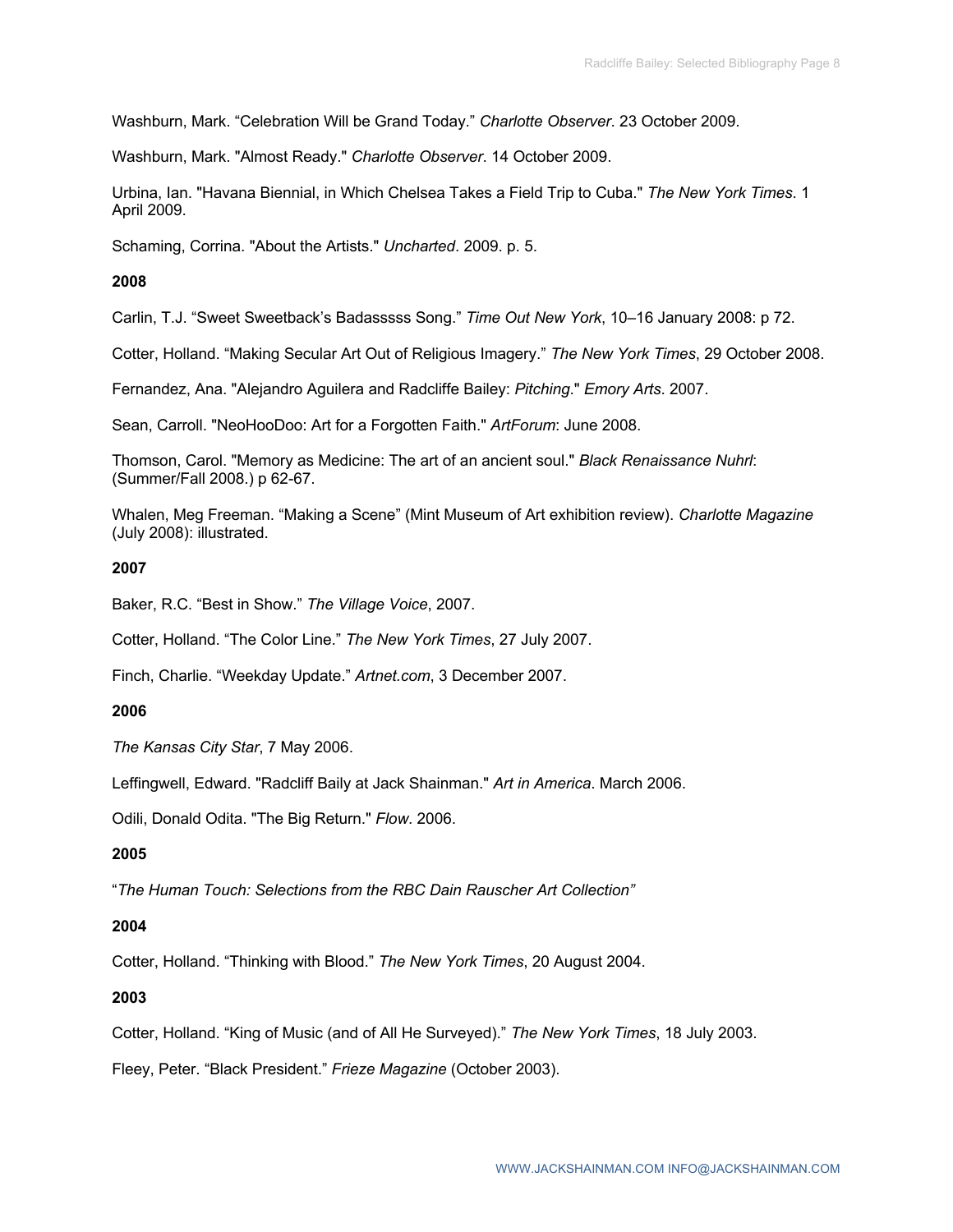Washburn, Mark. "Celebration Will be Grand Today." *Charlotte Observer*. 23 October 2009.

Washburn, Mark. "Almost Ready." *Charlotte Observer*. 14 October 2009.

Urbina, Ian. "Havana Biennial, in Which Chelsea Takes a Field Trip to Cuba." *The New York Times*. 1 April 2009.

Schaming, Corrina. "About the Artists." *Uncharted*. 2009. p. 5.

### **2008**

Carlin, T.J. "Sweet Sweetback's Badasssss Song." *Time Out New York*, 10–16 January 2008: p 72.

Cotter, Holland. "Making Secular Art Out of Religious Imagery." *The New York Times*, 29 October 2008.

Fernandez, Ana. "Alejandro Aguilera and Radcliffe Bailey: *Pitching*." *Emory Arts*. 2007.

Sean, Carroll. "NeoHooDoo: Art for a Forgotten Faith." *ArtForum*: June 2008.

Thomson, Carol. "Memory as Medicine: The art of an ancient soul." *Black Renaissance Nuhrl*: (Summer/Fall 2008.) p 62-67.

Whalen, Meg Freeman. "Making a Scene" (Mint Museum of Art exhibition review). *Charlotte Magazine*  (July 2008): illustrated.

### **2007**

Baker, R.C. "Best in Show." *The Village Voice*, 2007.

Cotter, Holland. "The Color Line." *The New York Times*, 27 July 2007.

Finch, Charlie. "Weekday Update." *Artnet.com*, 3 December 2007.

## **2006**

*The Kansas City Star*, 7 May 2006.

Leffingwell, Edward. "Radcliff Baily at Jack Shainman." *Art in America*. March 2006.

Odili, Donald Odita. "The Big Return." *Flow*. 2006.

## **2005**

"*The Human Touch: Selections from the RBC Dain Rauscher Art Collection"*

### **2004**

Cotter, Holland. "Thinking with Blood." *The New York Times*, 20 August 2004.

## **2003**

Cotter, Holland. "King of Music (and of All He Surveyed)." *The New York Times*, 18 July 2003.

Fleey, Peter. "Black President." *Frieze Magazine* (October 2003).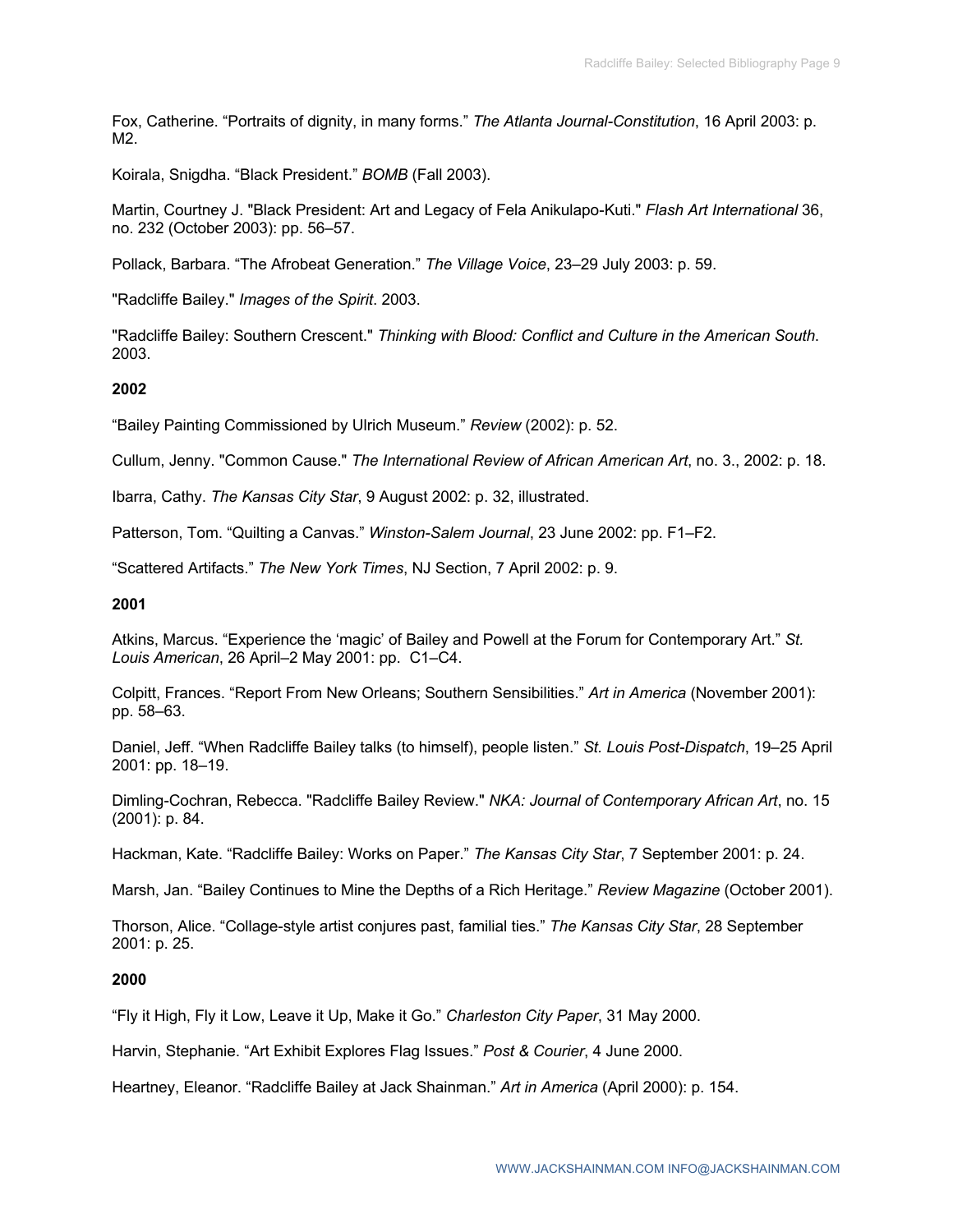Fox, Catherine. "Portraits of dignity, in many forms." *The Atlanta Journal-Constitution*, 16 April 2003: p. M2.

Koirala, Snigdha. "Black President." *BOMB* (Fall 2003).

Martin, Courtney J. "Black President: Art and Legacy of Fela Anikulapo-Kuti." *Flash Art International* 36, no. 232 (October 2003): pp. 56–57.

Pollack, Barbara. "The Afrobeat Generation." *The Village Voice*, 23–29 July 2003: p. 59.

"Radcliffe Bailey." *Images of the Spirit*. 2003.

"Radcliffe Bailey: Southern Crescent." *Thinking with Blood: Conflict and Culture in the American South*. 2003.

## **2002**

"Bailey Painting Commissioned by Ulrich Museum." *Review* (2002): p. 52.

Cullum, Jenny. "Common Cause." *The International Review of African American Art*, no. 3., 2002: p. 18.

Ibarra, Cathy. *The Kansas City Star*, 9 August 2002: p. 32, illustrated.

Patterson, Tom. "Quilting a Canvas." *Winston-Salem Journal*, 23 June 2002: pp. F1–F2.

"Scattered Artifacts." *The New York Times*, NJ Section, 7 April 2002: p. 9.

### **2001**

Atkins, Marcus. "Experience the 'magic' of Bailey and Powell at the Forum for Contemporary Art." *St. Louis American*, 26 April–2 May 2001: pp. C1–C4.

Colpitt, Frances. "Report From New Orleans; Southern Sensibilities." *Art in America* (November 2001): pp. 58–63.

Daniel, Jeff. "When Radcliffe Bailey talks (to himself), people listen." *St. Louis Post-Dispatch*, 19–25 April 2001: pp. 18–19.

Dimling-Cochran, Rebecca. "Radcliffe Bailey Review." *NKA: Journal of Contemporary African Art*, no. 15 (2001): p. 84.

Hackman, Kate. "Radcliffe Bailey: Works on Paper." *The Kansas City Star*, 7 September 2001: p. 24.

Marsh, Jan. "Bailey Continues to Mine the Depths of a Rich Heritage." *Review Magazine* (October 2001).

Thorson, Alice. "Collage-style artist conjures past, familial ties." *The Kansas City Star*, 28 September 2001: p. 25.

### **2000**

"Fly it High, Fly it Low, Leave it Up, Make it Go." *Charleston City Paper*, 31 May 2000.

Harvin, Stephanie. "Art Exhibit Explores Flag Issues." *Post & Courier*, 4 June 2000.

Heartney, Eleanor. "Radcliffe Bailey at Jack Shainman." *Art in America* (April 2000): p. 154.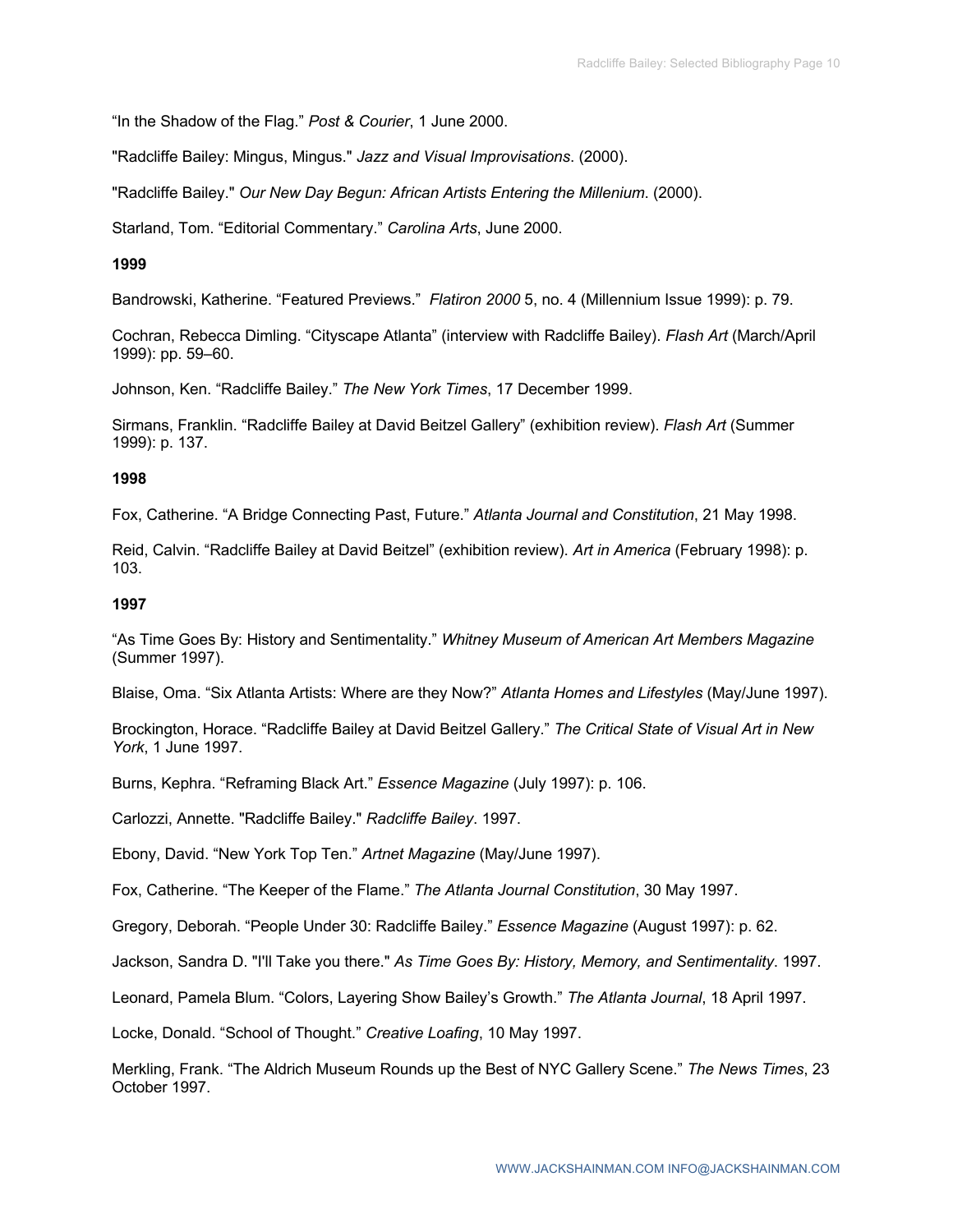"In the Shadow of the Flag." *Post & Courier*, 1 June 2000.

"Radcliffe Bailey: Mingus, Mingus." *Jazz and Visual Improvisations*. (2000).

"Radcliffe Bailey." *Our New Day Begun: African Artists Entering the Millenium*. (2000).

Starland, Tom. "Editorial Commentary." *Carolina Arts*, June 2000.

### **1999**

Bandrowski, Katherine. "Featured Previews." *Flatiron 2000* 5, no. 4 (Millennium Issue 1999): p. 79.

Cochran, Rebecca Dimling. "Cityscape Atlanta" (interview with Radcliffe Bailey). *Flash Art* (March/April 1999): pp. 59–60.

Johnson, Ken. "Radcliffe Bailey." *The New York Times*, 17 December 1999.

Sirmans, Franklin. "Radcliffe Bailey at David Beitzel Gallery" (exhibition review). *Flash Art* (Summer 1999): p. 137.

### **1998**

Fox, Catherine. "A Bridge Connecting Past, Future." *Atlanta Journal and Constitution*, 21 May 1998.

Reid, Calvin. "Radcliffe Bailey at David Beitzel" (exhibition review). *Art in America* (February 1998): p. 103.

### **1997**

"As Time Goes By: History and Sentimentality." *Whitney Museum of American Art Members Magazine* (Summer 1997).

Blaise, Oma. "Six Atlanta Artists: Where are they Now?" *Atlanta Homes and Lifestyles* (May/June 1997).

Brockington, Horace. "Radcliffe Bailey at David Beitzel Gallery." *The Critical State of Visual Art in New York*, 1 June 1997.

Burns, Kephra. "Reframing Black Art." *Essence Magazine* (July 1997): p. 106.

Carlozzi, Annette. "Radcliffe Bailey." *Radcliffe Bailey*. 1997.

Ebony, David. "New York Top Ten." *Artnet Magazine* (May/June 1997).

Fox, Catherine. "The Keeper of the Flame." *The Atlanta Journal Constitution*, 30 May 1997.

Gregory, Deborah. "People Under 30: Radcliffe Bailey." *Essence Magazine* (August 1997): p. 62.

Jackson, Sandra D. "I'll Take you there." *As Time Goes By: History, Memory, and Sentimentality*. 1997.

Leonard, Pamela Blum. "Colors, Layering Show Bailey's Growth." *The Atlanta Journal*, 18 April 1997.

Locke, Donald. "School of Thought." *Creative Loafing*, 10 May 1997.

Merkling, Frank. "The Aldrich Museum Rounds up the Best of NYC Gallery Scene." *The News Times*, 23 October 1997.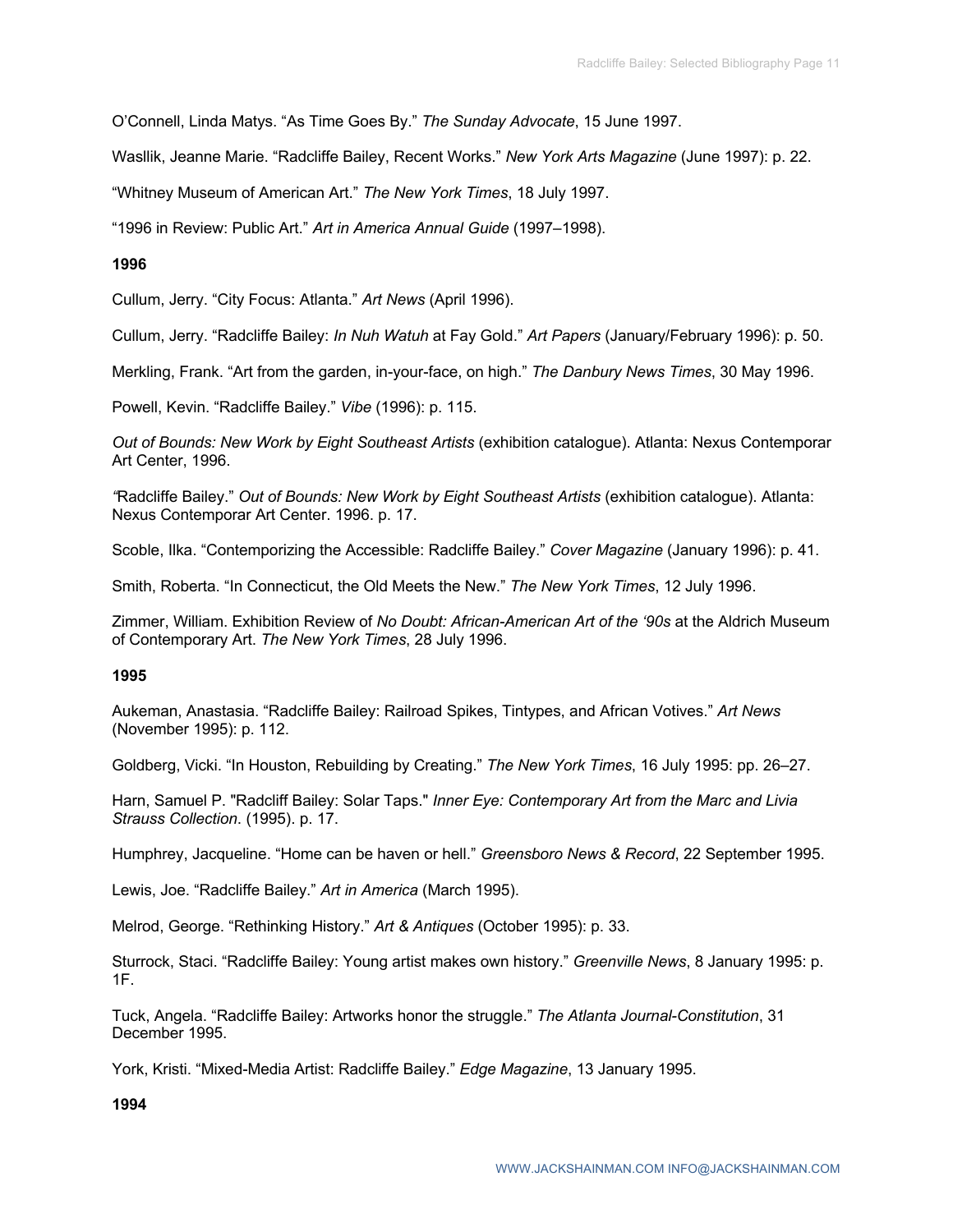O'Connell, Linda Matys. "As Time Goes By." *The Sunday Advocate*, 15 June 1997.

Wasllik, Jeanne Marie. "Radcliffe Bailey, Recent Works." *New York Arts Magazine* (June 1997): p. 22.

"Whitney Museum of American Art." *The New York Times*, 18 July 1997.

"1996 in Review: Public Art." *Art in America Annual Guide* (1997–1998).

### **1996**

Cullum, Jerry. "City Focus: Atlanta." *Art News* (April 1996).

Cullum, Jerry. "Radcliffe Bailey: *In Nuh Watuh* at Fay Gold." *Art Papers* (January/February 1996): p. 50.

Merkling, Frank. "Art from the garden, in-your-face, on high." *The Danbury News Times*, 30 May 1996.

Powell, Kevin. "Radcliffe Bailey." *Vibe* (1996): p. 115.

*Out of Bounds: New Work by Eight Southeast Artists* (exhibition catalogue). Atlanta: Nexus Contemporar Art Center, 1996.

*"*Radcliffe Bailey." *Out of Bounds: New Work by Eight Southeast Artists* (exhibition catalogue). Atlanta: Nexus Contemporar Art Center. 1996. p. 17.

Scoble, Ilka. "Contemporizing the Accessible: Radcliffe Bailey." *Cover Magazine* (January 1996): p. 41.

Smith, Roberta. "In Connecticut, the Old Meets the New." *The New York Times*, 12 July 1996.

Zimmer, William. Exhibition Review of *No Doubt: African-American Art of the '90s* at the Aldrich Museum of Contemporary Art. *The New York Times*, 28 July 1996.

### **1995**

Aukeman, Anastasia. "Radcliffe Bailey: Railroad Spikes, Tintypes, and African Votives." *Art News*  (November 1995): p. 112.

Goldberg, Vicki. "In Houston, Rebuilding by Creating." *The New York Times*, 16 July 1995: pp. 26–27.

Harn, Samuel P. "Radcliff Bailey: Solar Taps." *Inner Eye: Contemporary Art from the Marc and Livia Strauss Collection*. (1995). p. 17.

Humphrey, Jacqueline. "Home can be haven or hell." *Greensboro News & Record*, 22 September 1995.

Lewis, Joe. "Radcliffe Bailey." *Art in America* (March 1995).

Melrod, George. "Rethinking History." *Art & Antiques* (October 1995): p. 33.

Sturrock, Staci. "Radcliffe Bailey: Young artist makes own history." *Greenville News*, 8 January 1995: p. 1F.

Tuck, Angela. "Radcliffe Bailey: Artworks honor the struggle." *The Atlanta Journal-Constitution*, 31 December 1995.

York, Kristi. "Mixed-Media Artist: Radcliffe Bailey." *Edge Magazine*, 13 January 1995.